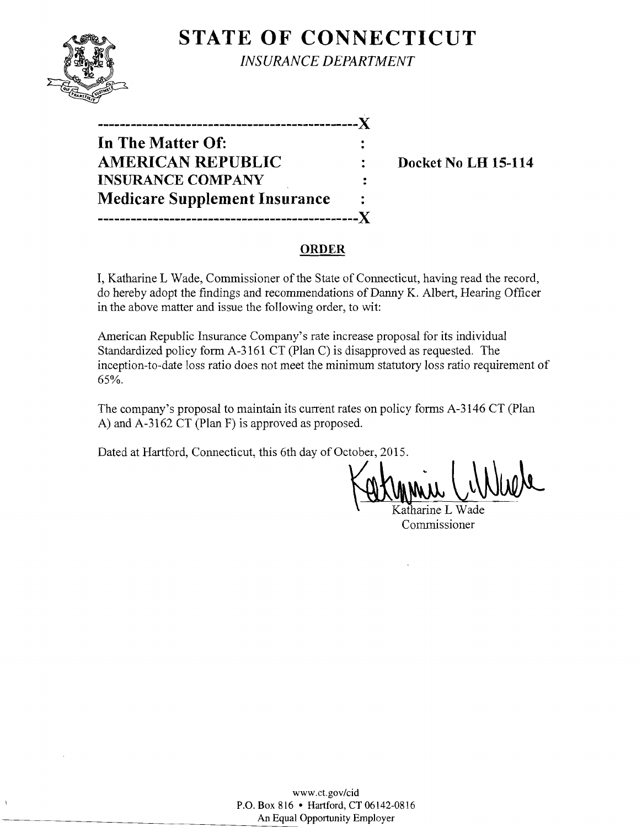

**STATE OF CONNECTICUT** *INSURANCE DEPARTMENT* 

| In The Matter Of:                    |                |
|--------------------------------------|----------------|
| <b>AMERICAN REPUBLIC</b>             |                |
| <b>INSURANCE COMPANY</b>             | $\ddot{\cdot}$ |
| <b>Medicare Supplement Insurance</b> |                |
| ----------------------------         | .X             |

**Docket No LH 15-114** 

## **ORDER**

**I,** Katharine L Wade, Commissioner of the State of Connecticut, having read the record, do hereby adopt the findings and recommendations of Danny K. Albert, Hearing Officer in the above matter and issue the following order, to wit:

American Republic Insurance Company's rate increase proposal for its individual Standardized policy form A-3161 CT (Plan C) is disapproved as requested. The inception-to-date loss ratio does not meet the minimum statutory loss ratio requirement of 65%.

The company's proposal to maintain its current rates on policy forms A-3146 CT (Plan A) and A-3162 CT (Plan F) is approved as proposed.

Dated at Hartford, Connecticut, this 6th day of October, 2015.

Minu Cinium

Commissioner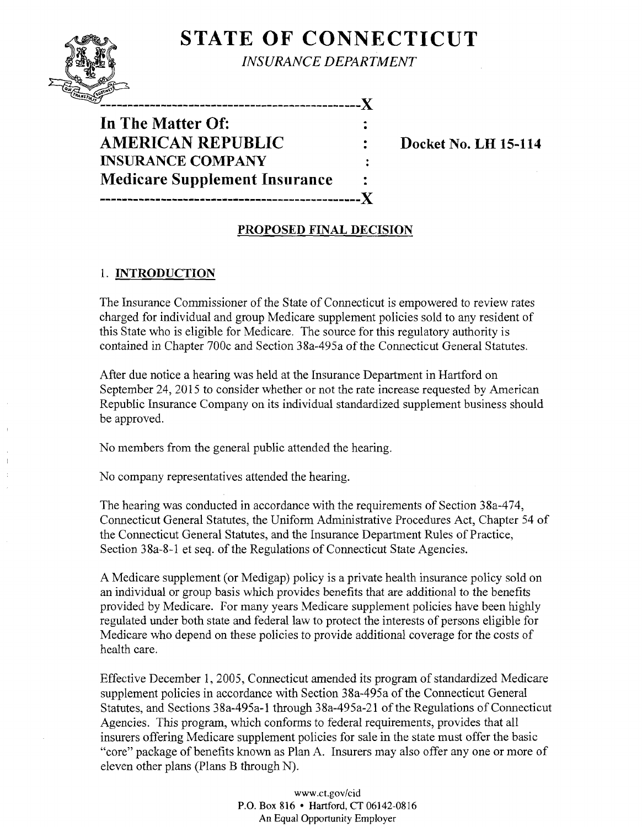# **STATE OF CONNECTICUT**



*INSURANCE DEPARTMENT* 

--------------------------X **In The Matter Of: AMERICAN REPUBLIC : Docket No. LH 15-114 INSURANCE COMPANY Medicare Supplement Insurance -----------------------------------------------)(** 

### **PROPOSED FINAL DECISION**

 $\ddot{\cdot}$ 

# 1. **INTRODUCTION**

The Insurance Commissioner of the State of Connecticut is empowered to review rates charged for individual and group Medicare supplement policies sold to any resident of this State who is eligible for Medicare. The source for this regulatory authority is contained in Chapter 700c and Section 38a-495a of the Connecticut General Statutes.

After due notice a hearing was held at the Insurance Department in Hartford on September 24, 2015 to consider whether or not the rate increase requested by American Republic Insurance Company on its individual standardized supplement business should be approved.

No members from the general public attended the hearing.

No company representatives attended the hearing.

The hearing was conducted in accordance with the requirements of Section 38a-474, Connecticut General Statutes, the Uniform Administrative Procedures Act, Chapter 54 of the Connecticut General Statutes, and the Insurance Department Rules of Practice, Section 38a-8-1 et seq. of the Regulations of Connecticut State Agencies.

A Medicare supplement (or Medigap) policy is a private health insurance policy sold on an individual or group basis which provides benefits that are additional to the benefits provided by Medicare. For many years Medicare supplement policies have been highly regulated under both state and federal law to protect the interests of persons eligible for Medicare who depend on these policies to provide additional coverage for the costs of health care.

Effective December 1, 2005, Connecticut amended its program of standardized Medicare supplement policies in accordance with Section 38a-495a of the Connecticut General Statutes, and Sections 38a-495a-l through 38a-495a-2l ofthe Regulations of Connecticut Agencies. This program, which conforms to federal requirements, provides that all insurers offering Medicare supplement policies for sale in the state must offer the basic "core" package of benefits known as Plan A. Insurers may also offer anyone or more of eleven other plans (Plans B through N).

> www.ct.gov/cid P.O. Box 816 • Hartford. CT 06142-0816 An Equal Opportunity Employer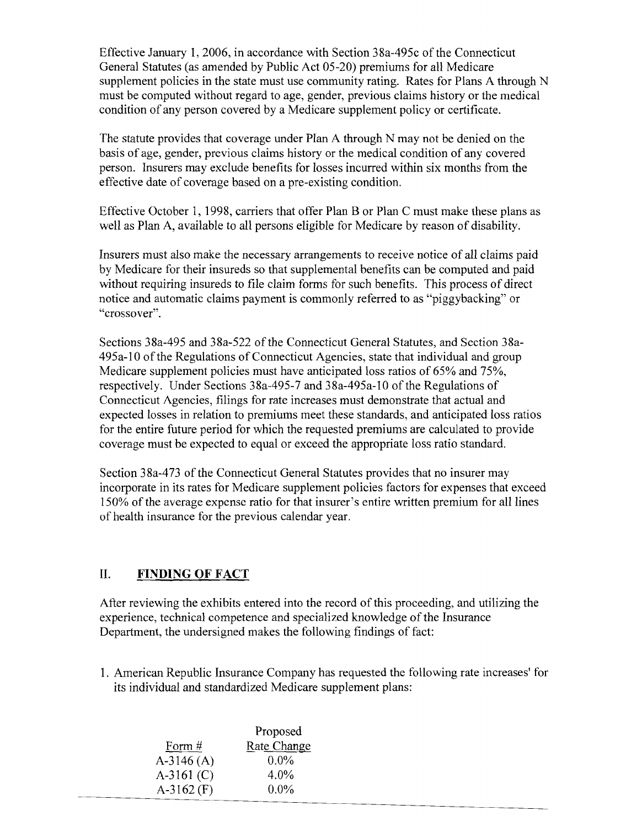Effective January 1,2006, in accordance with Section 38a-495c of the Connecticut General Statutes (as amended by Public Act 05-20) premiums for all Medicare supplement policies in the state must use community rating. Rates for Plans A through N must be computed without regard to age, gender, previous claims history or the medical condition of any person covered by a Medicare supplement policy or certificate.

The statute provides that coverage under Plan A through N may not be denied on the basis of age, gender, previous claims history or the medical condition of any covered person. Insurers may exclude benefits for losses incurred within six months from the effective date of coverage based on a pre-existing condition.

Effective October 1, 1998, carriers that offer Plan B or Plan C must make these plans as well as Plan A, available to all persons eligible for Medicare by reason of disability.

Insurers must also make the necessary arrangements to receive notice of all claims paid by Medicare for their insureds so that supplemental benefits can be computed and paid without requiring insureds to file claim forms for such benefits. This process of direct notice and automatic claims payment is commonly referred to as "piggybacking" or "crossover".

Sections 38a-495 and 38a-522 of the Connecticut General Statutes, and Section 38a-495a-l0 ofthe Regulations ofConnecticut Agencies, state that individual and group Medicare supplement policies must have anticipated loss ratios of 65% and 75%, respectively. Under Sections 38a-495-7 and 38a-495a-1O of the Regulations of Connecticut Agencies, filings for rate increases must demonstrate that actual and expected losses in relation to premiums meet these standards, and anticipated loss ratios for the entire future period for which the requested premiums are calculated to provide coverage must be expected to equal or exceed the appropriate loss ratio standard.

Section 38a-473 of the Connecticut General Statutes provides that no insurer may incorporate in its rates for Medicare supplement policies factors for expenses that exceed 150% of the average expense ratio for that insurer's entire written premium for all lines of health insurance for the previous calendar year.

### II. **FINDING OF FACT**

After reviewing the exhibits entered into the record of this proceeding, and utilizing the experience, technical competence and specialized knowledge of the Insurance Department, the undersigned makes the following findings of fact:

1. American Republic Insurance Company has requested the following rate increases' for its individual and standardized Medicare supplement plans:

|              | Proposed           |
|--------------|--------------------|
| Form $#$     | <b>Rate Change</b> |
| $A-3146(A)$  | $0.0\%$            |
| $A-3161$ (C) | $4.0\%$            |
| $A-3162$ (F) | $0.0\%$            |
|              |                    |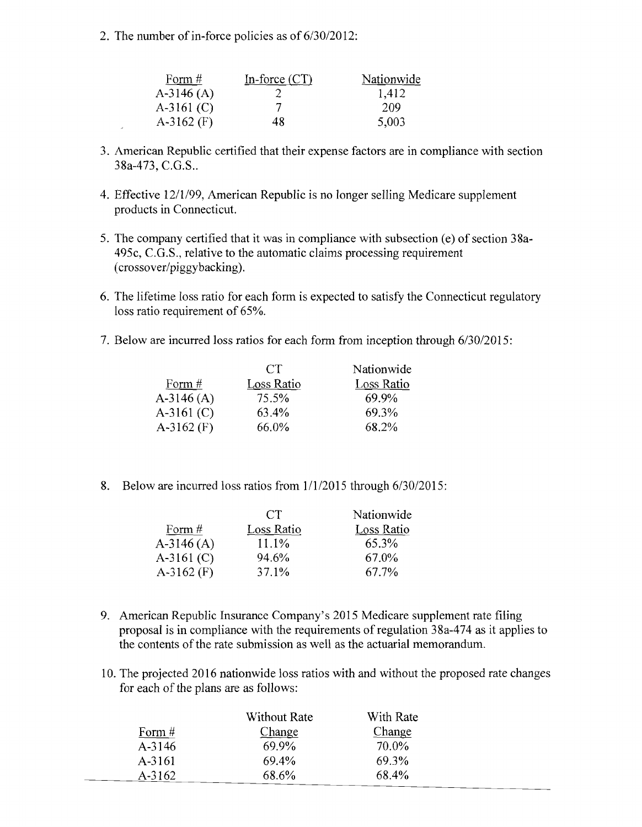2. The number of in-force policies as of  $6/30/2012$ :

| Form $#$     | In-force $(CT)$ | Nationwide |
|--------------|-----------------|------------|
| $A-3146(A)$  |                 | 1,412      |
| $A-3161$ (C) |                 | 209        |
| $A-3162$ (F) | 48.             | 5,003      |

- 3. American Republic certified that their expense factors are in compliance with section 38a-473, C.G.s..
- 4. Effective 12/1/99, American Republic is no longer selling Medicare supplement products in Connecticut.
- 5. The company certified that it was in compliance with subsection (e) of section 38a-495c, C.G.s., relative to the automatic claims processing requirement (crossover/piggybacking).
- 6. The lifetime loss ratio for each form is expected to satisfy the Connecticut regulatory loss ratio requirement of 65%.
- 7. Below are incurred loss ratios for each form from inception through 6/30/2015:

|              | CT.               | Nationwide        |
|--------------|-------------------|-------------------|
| Form $#$     | <b>Loss Ratio</b> | <b>Loss Ratio</b> |
| $A-3146(A)$  | 75.5%             | 69.9%             |
| $A-3161$ (C) | 63.4%             | 69.3%             |
| $A-3162$ (F) | 66.0%             | 68.2%             |
|              |                   |                   |

8. Below are incurred loss ratios from  $1/1/2015$  through 6/30/2015:

|              | CT                | Nationwide        |
|--------------|-------------------|-------------------|
| Form $#$     | <b>Loss Ratio</b> | <b>Loss Ratio</b> |
| $A-3146(A)$  | 11.1%             | 65.3%             |
| $A-3161$ (C) | 94.6%             | 67.0%             |
| $A-3162$ (F) | 37.1%             | 67.7%             |

- 9. American Republic Insurance Company's 2015 Medicare supplement rate filing proposal is in compliance with the requirements ofregulation 38a-474 as it applies to the contents of the rate submission as well as the actuarial memorandum.
- 10. The projected 2016 nationwide loss ratios with and without the proposed rate changes for each of the plans are as follows:

|            | Without Rate  | With Rate     |
|------------|---------------|---------------|
| Form $#$   | <b>Change</b> | <b>Change</b> |
| $A - 3146$ | 69.9%         | 70.0%         |
| A-3161     | 69.4%         | 69.3%         |
| A-3162     | 68.6%         | 68.4%         |
|            |               |               |